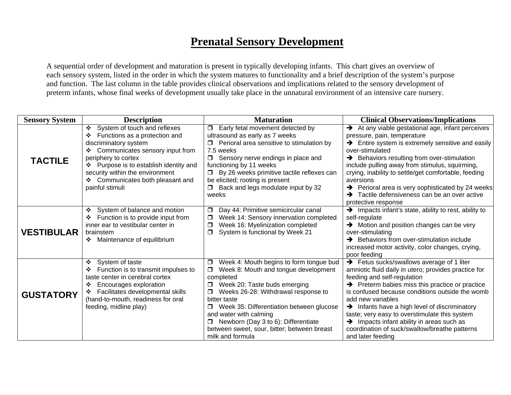## **Prenatal Sensory Development**

 A sequential order of development and maturation is present in typically developing infants. This chart gives an overview of each sensory system, listed in the order in which the system matures to functionality and a brief description of the system's purpose and function. The last column in the table provides clinical observations and implications related to the sensory development of preterm infants, whose final weeks of development usually take place in the unnatural environment of an intensive care nursery.

| <b>Sensory System</b> | <b>Description</b>                                                                                                                                                                                                                                                                                  | <b>Maturation</b>                                                                                                                                                                                                                                                                                                                                                                                           | <b>Clinical Observations/Implications</b>                                                                                                                                                                                                                                                                                                                                                                                                                                                                            |
|-----------------------|-----------------------------------------------------------------------------------------------------------------------------------------------------------------------------------------------------------------------------------------------------------------------------------------------------|-------------------------------------------------------------------------------------------------------------------------------------------------------------------------------------------------------------------------------------------------------------------------------------------------------------------------------------------------------------------------------------------------------------|----------------------------------------------------------------------------------------------------------------------------------------------------------------------------------------------------------------------------------------------------------------------------------------------------------------------------------------------------------------------------------------------------------------------------------------------------------------------------------------------------------------------|
| <b>TACTILE</b>        | System of touch and reflexes<br>❖<br>Functions as a protection and<br>❖<br>discriminatory system<br>Communicates sensory input from<br>❖<br>periphery to cortex<br>❖ Purpose is to establish identity and<br>security within the environment<br>❖ Communicates both pleasant and<br>painful stimuli | Early fetal movement detected by<br>$\Box$<br>ultrasound as early as 7 weeks<br>Perioral area sensitive to stimulation by<br>7.5 weeks<br>$\Box$<br>Sensory nerve endings in place and<br>functioning by 11 weeks<br>By 26 weeks primitive tactile reflexes can<br>be elicited; rooting is present<br>Back and legs modulate input by 32<br>weeks                                                           | $\rightarrow$ At any viable gestational age, infant perceives<br>pressure, pain, temperature<br>$\rightarrow$ Entire system is extremely sensitive and easily<br>over-stimulated<br>→ Behaviors resulting from over-stimulation<br>include pulling away from stimulus, squirming,<br>crying, inability to settle/get comfortable, feeding<br>aversions<br>→ Perioral area is very sophisticated by 24 weeks<br>$\rightarrow$ Tactile defensiveness can be an over active<br>protective response                      |
| <b>VESTIBULAR</b>     | ❖<br>System of balance and motion<br>Function is to provide input from<br>inner ear to vestibular center in<br>brainstem<br>Maintenance of equilibrium                                                                                                                                              | Day 44: Primitive semicircular canal<br>0<br>Week 14: Sensory innervation completed<br>$\Box$<br>Week 16: Myelinization completed<br>Ω<br>System is functional by Week 21<br>$\Box$                                                                                                                                                                                                                         | > Impacts infant's state, ability to rest, ability to<br>self-regulate<br>> Motion and position changes can be very<br>over-stimulating<br>$\rightarrow$ Behaviors from over-stimulation include<br>increased motor activity, color changes, crying,<br>poor feeding                                                                                                                                                                                                                                                 |
| <b>GUSTATORY</b>      | System of taste<br>❖<br>Function is to transmit impulses to<br>taste center in cerebral cortex<br>Encourages exploration<br>❖<br>Facilitates developmental skills<br>(hand-to-mouth, readiness for oral<br>feeding, midline play)                                                                   | Week 4: Mouth begins to form tongue bud<br>$\Box$<br>Week 8: Mouth and tongue development<br>$\Box$<br>completed<br>Week 20: Taste buds emerging<br>Weeks 26-28: Withdrawal response to<br>$\Box$<br>bitter taste<br>Week 35: Differentiation between glucose<br>and water with calming<br>Newborn (Day 3 to 6): Differentiate<br>$\Box$<br>between sweet, sour, bitter; between breast<br>milk and formula | $\rightarrow$ Fetus sucks/swallows average of 1 liter<br>amniotic fluid daily in utero; provides practice for<br>feeding and self-regulation<br>$\rightarrow$ Preterm babies miss this practice or practice<br>is confused because conditions outside the womb<br>add new variables<br>$\rightarrow$ Infants have a high level of discriminatory<br>taste; very easy to overstimulate this system<br>> Impacts infant ability in areas such as<br>coordination of suck/swallow/breathe patterns<br>and later feeding |